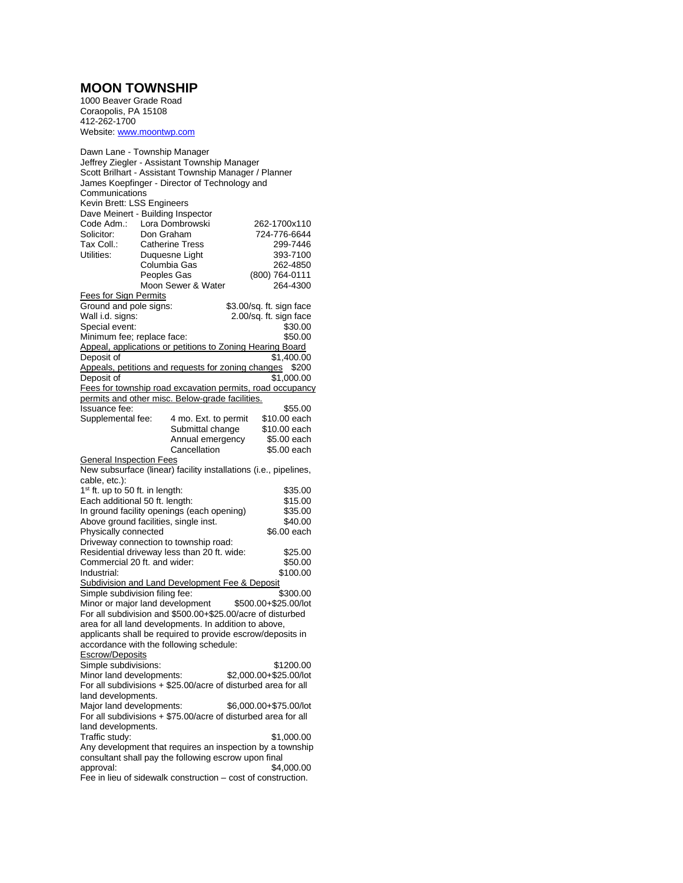## **MOON TOWNSHIP**

1000 Beaver Grade Road Coraopolis, PA 15108 412-262-1700 Website[: www.moontwp.com](http://www.moontwp.com/)

| Dawn Lane - Township Manager<br>Jeffrey Ziegler - Assistant Township Manager<br>Scott Brilhart - Assistant Township Manager / Planner<br>James Koepfinger - Director of Technology and<br>Communications |                        |                      |  |                          |
|----------------------------------------------------------------------------------------------------------------------------------------------------------------------------------------------------------|------------------------|----------------------|--|--------------------------|
| Kevin Brett: LSS Engineers                                                                                                                                                                               |                        |                      |  |                          |
| Dave Meinert - Building Inspector                                                                                                                                                                        |                        |                      |  |                          |
| Code Adm.: Lora Dombrowski                                                                                                                                                                               |                        |                      |  | 262-1700x110             |
| Solicitor:                                                                                                                                                                                               | Don Graham             |                      |  | 724-776-6644             |
| Tax Coll.:                                                                                                                                                                                               | <b>Catherine Tress</b> |                      |  | 299-7446                 |
| Utilities:                                                                                                                                                                                               | Duquesne Light         |                      |  | 393-7100                 |
|                                                                                                                                                                                                          | Columbia Gas           |                      |  | 262-4850                 |
|                                                                                                                                                                                                          |                        |                      |  |                          |
|                                                                                                                                                                                                          | Peoples Gas            |                      |  | (800) 764-0111           |
|                                                                                                                                                                                                          | Moon Sewer & Water     |                      |  | 264-4300                 |
| <b>Fees for Sign Permits</b>                                                                                                                                                                             |                        |                      |  |                          |
| Ground and pole signs:                                                                                                                                                                                   |                        |                      |  | \$3.00/sq. ft. sign face |
| Wall i.d. signs:                                                                                                                                                                                         |                        |                      |  | 2.00/sq. ft. sign face   |
| Special event:                                                                                                                                                                                           |                        |                      |  | \$30.00                  |
| Minimum fee; replace face:                                                                                                                                                                               |                        |                      |  | \$50.00                  |
| Appeal, applications or petitions to Zoning Hearing Board                                                                                                                                                |                        |                      |  |                          |
| Deposit of                                                                                                                                                                                               |                        |                      |  | \$1,400.00               |
| Appeals, petitions and requests for zoning changes                                                                                                                                                       |                        |                      |  | \$200                    |
| Deposit of                                                                                                                                                                                               |                        |                      |  | \$1,000.00               |
|                                                                                                                                                                                                          |                        |                      |  |                          |
| Fees for township road excavation permits, road occupancy                                                                                                                                                |                        |                      |  |                          |
| permits and other misc. Below-grade facilities.                                                                                                                                                          |                        |                      |  |                          |
| Issuance fee:                                                                                                                                                                                            |                        |                      |  | \$55.00                  |
| Supplemental fee:                                                                                                                                                                                        |                        | 4 mo. Ext. to permit |  | \$10.00 each             |
|                                                                                                                                                                                                          |                        | Submittal change     |  | \$10.00 each             |
|                                                                                                                                                                                                          |                        | Annual emergency     |  | \$5.00 each              |
|                                                                                                                                                                                                          |                        | Cancellation         |  | \$5.00 each              |
| <b>General Inspection Fees</b>                                                                                                                                                                           |                        |                      |  |                          |
| New subsurface (linear) facility installations (i.e., pipelines,                                                                                                                                         |                        |                      |  |                          |
| cable, etc.):                                                                                                                                                                                            |                        |                      |  |                          |
| $1st$ ft. up to 50 ft. in length:                                                                                                                                                                        |                        |                      |  | \$35.00                  |
| Each additional 50 ft. length:                                                                                                                                                                           |                        |                      |  | \$15.00                  |
|                                                                                                                                                                                                          |                        |                      |  | \$35.00                  |
| In ground facility openings (each opening)                                                                                                                                                               |                        |                      |  |                          |
| Above ground facilities, single inst.                                                                                                                                                                    |                        |                      |  | \$40.00                  |
| Physically connected                                                                                                                                                                                     |                        |                      |  | \$6.00 each              |
| Driveway connection to township road:                                                                                                                                                                    |                        |                      |  |                          |
| Residential driveway less than 20 ft. wide:                                                                                                                                                              |                        |                      |  | \$25.00                  |
| Commercial 20 ft. and wider:                                                                                                                                                                             |                        |                      |  | \$50.00                  |
| Industrial:                                                                                                                                                                                              |                        |                      |  | \$100.00                 |
| Subdivision and Land Development Fee & Deposit                                                                                                                                                           |                        |                      |  |                          |
| Simple subdivision filing fee:                                                                                                                                                                           |                        |                      |  | \$300.00                 |
| Minor or major land development                                                                                                                                                                          |                        |                      |  | \$500.00+\$25.00/lot     |
| For all subdivision and \$500.00+\$25.00/acre of disturbed                                                                                                                                               |                        |                      |  |                          |
|                                                                                                                                                                                                          |                        |                      |  |                          |
| area for all land developments. In addition to above,                                                                                                                                                    |                        |                      |  |                          |
| applicants shall be required to provide escrow/deposits in                                                                                                                                               |                        |                      |  |                          |
| accordance with the following schedule:                                                                                                                                                                  |                        |                      |  |                          |
| <b>Escrow/Deposits</b>                                                                                                                                                                                   |                        |                      |  |                          |
| Simple subdivisions:                                                                                                                                                                                     |                        |                      |  | \$1200.00                |
| Minor land developments:                                                                                                                                                                                 |                        |                      |  | \$2,000.00+\$25.00/lot   |
| For all subdivisions + \$25.00/acre of disturbed area for all                                                                                                                                            |                        |                      |  |                          |
| land developments.                                                                                                                                                                                       |                        |                      |  |                          |
| Major land developments:                                                                                                                                                                                 |                        |                      |  | \$6,000.00+\$75.00/lot   |
| For all subdivisions $+$ \$75.00/acre of disturbed area for all                                                                                                                                          |                        |                      |  |                          |
|                                                                                                                                                                                                          |                        |                      |  |                          |
| land developments.                                                                                                                                                                                       |                        |                      |  |                          |
| Traffic study:                                                                                                                                                                                           |                        |                      |  | \$1,000.00               |
| Any development that requires an inspection by a township                                                                                                                                                |                        |                      |  |                          |
| consultant shall pay the following escrow upon final                                                                                                                                                     |                        |                      |  |                          |
| approval:                                                                                                                                                                                                |                        |                      |  | \$4,000.00               |
| Fee in lieu of sidewalk construction - cost of construction.                                                                                                                                             |                        |                      |  |                          |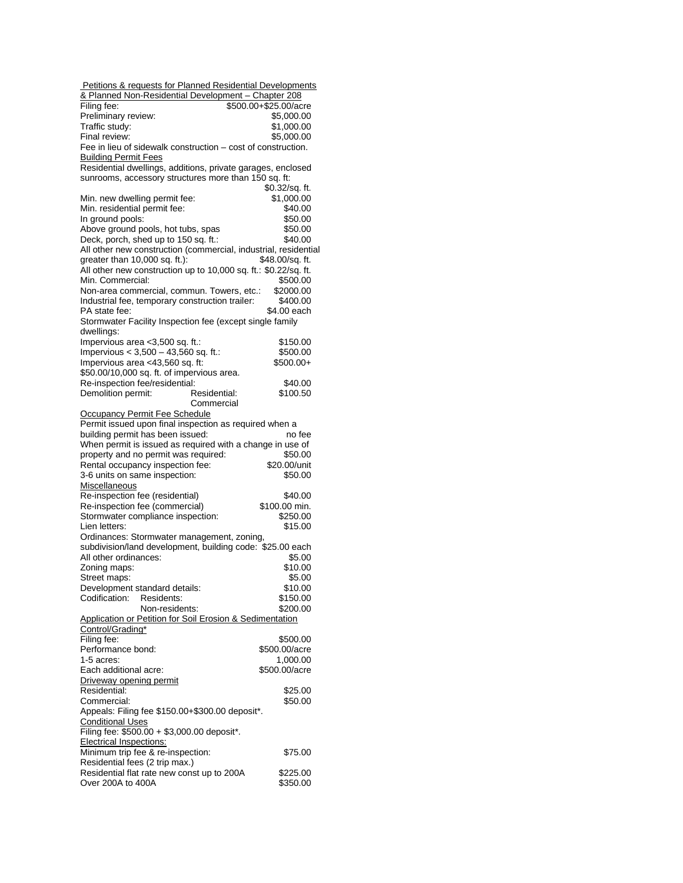| Petitions & requests for Planned Residential Developments       |                       |  |  |  |
|-----------------------------------------------------------------|-----------------------|--|--|--|
| & Planned Non-Residential Development - Chapter 208             |                       |  |  |  |
| Filing fee:                                                     | \$500.00+\$25.00/acre |  |  |  |
| Preliminary review:                                             | \$5,000.00            |  |  |  |
| Traffic study:                                                  | \$1,000.00            |  |  |  |
| Final review:                                                   | \$5,000.00            |  |  |  |
| Fee in lieu of sidewalk construction – cost of construction.    |                       |  |  |  |
|                                                                 |                       |  |  |  |
| <b>Building Permit Fees</b>                                     |                       |  |  |  |
| Residential dwellings, additions, private garages, enclosed     |                       |  |  |  |
| sunrooms, accessory structures more than 150 sq. ft:            |                       |  |  |  |
|                                                                 | \$0.32/sq. ft.        |  |  |  |
| Min. new dwelling permit fee:                                   | \$1,000.00            |  |  |  |
| Min. residential permit fee:                                    | \$40.00               |  |  |  |
| In ground pools:                                                | \$50.00               |  |  |  |
| Above ground pools, hot tubs, spas                              | \$50.00               |  |  |  |
| Deck, porch, shed up to 150 sq. ft.:                            | \$40.00               |  |  |  |
| All other new construction (commercial, industrial, residential |                       |  |  |  |
| greater than 10,000 sq. ft.):                                   | \$48.00/sq. ft.       |  |  |  |
| All other new construction up to 10,000 sq. ft.: \$0.22/sq. ft. |                       |  |  |  |
| Min. Commercial:                                                | \$500.00              |  |  |  |
|                                                                 |                       |  |  |  |
| Non-area commercial, commun. Towers, etc.:                      | \$2000.00             |  |  |  |
| Industrial fee, temporary construction trailer:                 | \$400.00              |  |  |  |
| PA state fee:                                                   | \$4.00 each           |  |  |  |
| Stormwater Facility Inspection fee (except single family        |                       |  |  |  |
| dwellings:                                                      |                       |  |  |  |
| Impervious area < 3,500 sq. ft.:                                | \$150.00              |  |  |  |
| Impervious $< 3,500 - 43,560$ sq. ft.:                          | \$500.00              |  |  |  |
| Impervious area <43,560 sq. ft:                                 | $$500.00+$            |  |  |  |
| \$50.00/10,000 sq. ft. of impervious area.                      |                       |  |  |  |
| Re-inspection fee/residential:                                  | \$40.00               |  |  |  |
| Demolition permit:<br>Residential:                              | \$100.50              |  |  |  |
| Commercial                                                      |                       |  |  |  |
|                                                                 |                       |  |  |  |
| Occupancy Permit Fee Schedule                                   |                       |  |  |  |
| Permit issued upon final inspection as required when a          |                       |  |  |  |
| building permit has been issued:                                | no fee                |  |  |  |
| When permit is issued as required with a change in use of       |                       |  |  |  |
| property and no permit was required:                            | \$50.00               |  |  |  |
| Rental occupancy inspection fee:                                | \$20.00/unit          |  |  |  |
| 3-6 units on same inspection:                                   | \$50.00               |  |  |  |
| Miscellaneous                                                   |                       |  |  |  |
| Re-inspection fee (residential)                                 | \$40.00               |  |  |  |
| Re-inspection fee (commercial)                                  | \$100.00 min.         |  |  |  |
| Stormwater compliance inspection:                               | \$250.00              |  |  |  |
| Lien letters:                                                   | \$15.00               |  |  |  |
|                                                                 |                       |  |  |  |
| Ordinances: Stormwater management, zoning,                      |                       |  |  |  |
| subdivision/land development, building code: \$25.00 each       |                       |  |  |  |
| All other ordinances:                                           | \$5.00                |  |  |  |
| Zoning maps:                                                    | \$10.00               |  |  |  |
| Street maps:                                                    | \$5.00                |  |  |  |
| Development standard details:                                   | \$10.00               |  |  |  |
| Codification:<br>Residents:                                     | \$150.00              |  |  |  |
| Non-residents:                                                  | \$200.00              |  |  |  |
| Application or Petition for Soil Erosion & Sedimentation        |                       |  |  |  |
| Control/Grading*                                                |                       |  |  |  |
| Filing fee:                                                     | \$500.00              |  |  |  |
| Performance bond:                                               | \$500.00/acre         |  |  |  |
| 1-5 acres:                                                      | 1,000.00              |  |  |  |
|                                                                 |                       |  |  |  |
| Each additional acre:                                           | \$500.00/acre         |  |  |  |
| Driveway opening permit                                         |                       |  |  |  |
| Residential:                                                    | \$25.00               |  |  |  |
| Commercial:                                                     | \$50.00               |  |  |  |
| Appeals: Filing fee \$150.00+\$300.00 deposit*.                 |                       |  |  |  |
| <b>Conditional Uses</b>                                         |                       |  |  |  |
| Filing fee: \$500.00 + \$3,000.00 deposit*.                     |                       |  |  |  |
|                                                                 |                       |  |  |  |
|                                                                 |                       |  |  |  |
| <b>Electrical Inspections:</b>                                  |                       |  |  |  |
| Minimum trip fee & re-inspection:                               | \$75.00               |  |  |  |
| Residential fees (2 trip max.)                                  |                       |  |  |  |
| Residential flat rate new const up to 200A<br>Over 200A to 400A | \$225.00<br>\$350.00  |  |  |  |